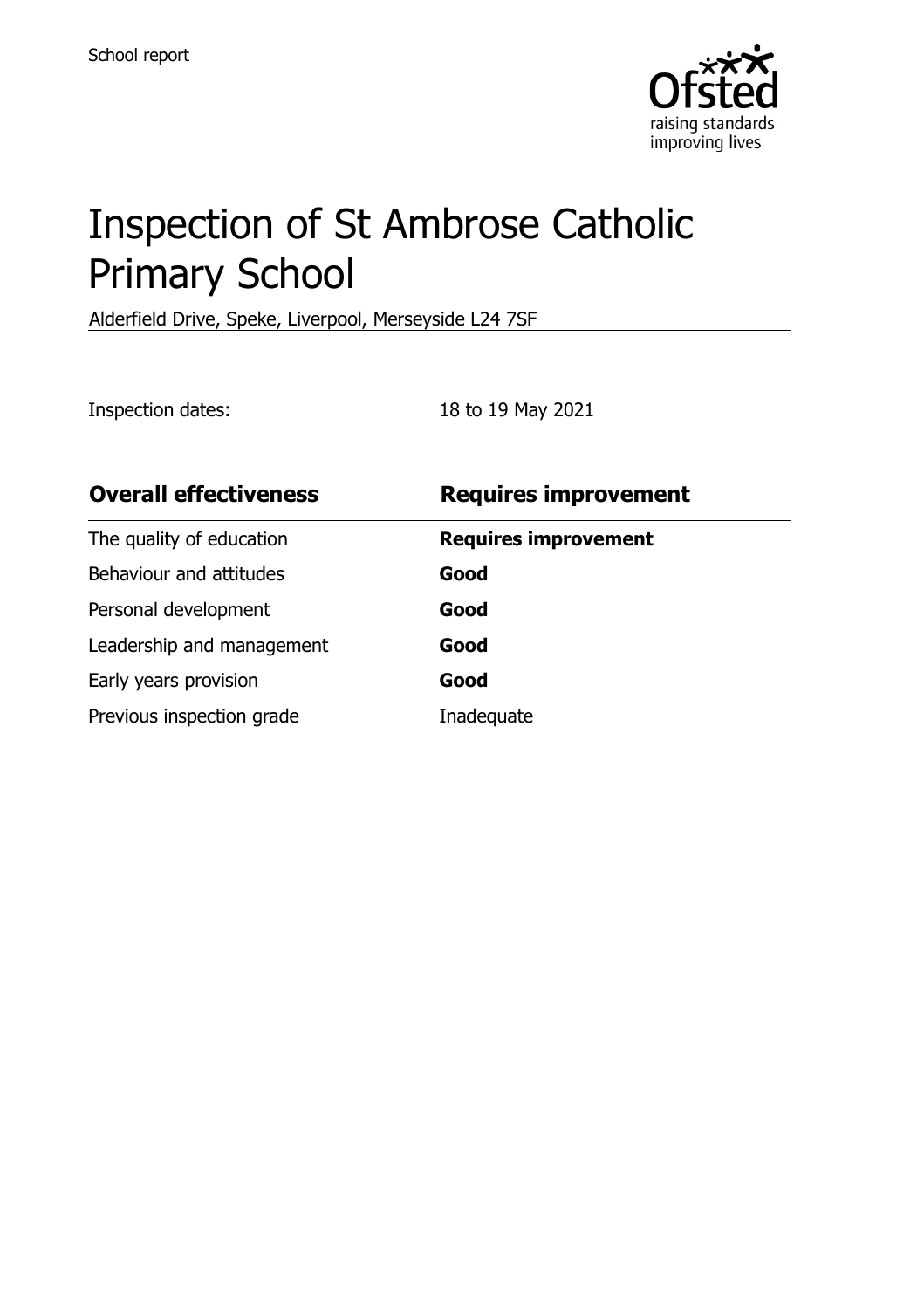

# Inspection of St Ambrose Catholic Primary School

Alderfield Drive, Speke, Liverpool, Merseyside L24 7SF

Inspection dates: 18 to 19 May 2021

| <b>Overall effectiveness</b> | <b>Requires improvement</b> |
|------------------------------|-----------------------------|
| The quality of education     | <b>Requires improvement</b> |
| Behaviour and attitudes      | Good                        |
| Personal development         | Good                        |
| Leadership and management    | Good                        |
| Early years provision        | Good                        |
| Previous inspection grade    | Inadequate                  |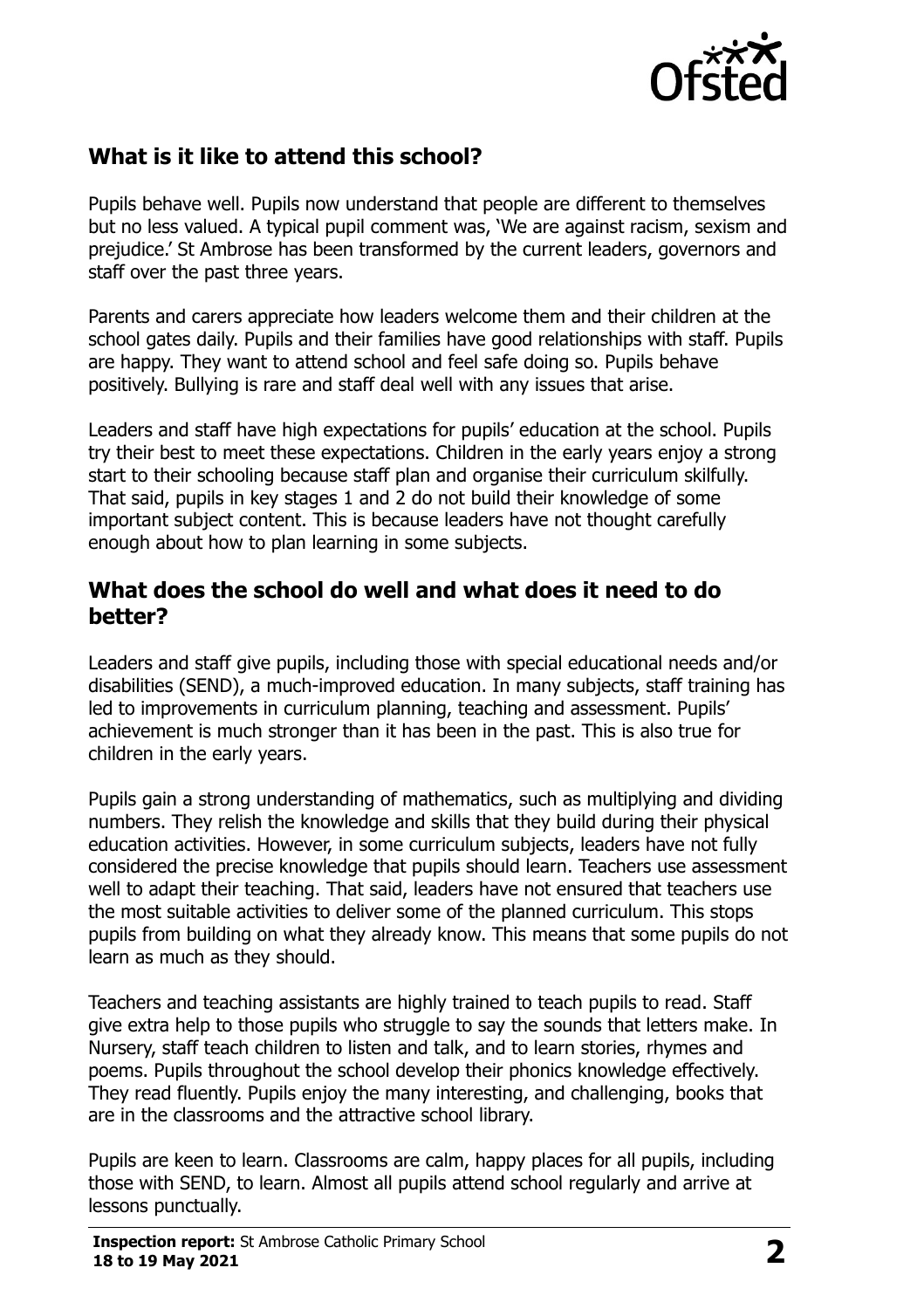

# **What is it like to attend this school?**

Pupils behave well. Pupils now understand that people are different to themselves but no less valued. A typical pupil comment was, 'We are against racism, sexism and prejudice.' St Ambrose has been transformed by the current leaders, governors and staff over the past three years.

Parents and carers appreciate how leaders welcome them and their children at the school gates daily. Pupils and their families have good relationships with staff. Pupils are happy. They want to attend school and feel safe doing so. Pupils behave positively. Bullying is rare and staff deal well with any issues that arise.

Leaders and staff have high expectations for pupils' education at the school. Pupils try their best to meet these expectations. Children in the early years enjoy a strong start to their schooling because staff plan and organise their curriculum skilfully. That said, pupils in key stages 1 and 2 do not build their knowledge of some important subject content. This is because leaders have not thought carefully enough about how to plan learning in some subjects.

#### **What does the school do well and what does it need to do better?**

Leaders and staff give pupils, including those with special educational needs and/or disabilities (SEND), a much-improved education. In many subjects, staff training has led to improvements in curriculum planning, teaching and assessment. Pupils' achievement is much stronger than it has been in the past. This is also true for children in the early years.

Pupils gain a strong understanding of mathematics, such as multiplying and dividing numbers. They relish the knowledge and skills that they build during their physical education activities. However, in some curriculum subjects, leaders have not fully considered the precise knowledge that pupils should learn. Teachers use assessment well to adapt their teaching. That said, leaders have not ensured that teachers use the most suitable activities to deliver some of the planned curriculum. This stops pupils from building on what they already know. This means that some pupils do not learn as much as they should.

Teachers and teaching assistants are highly trained to teach pupils to read. Staff give extra help to those pupils who struggle to say the sounds that letters make. In Nursery, staff teach children to listen and talk, and to learn stories, rhymes and poems. Pupils throughout the school develop their phonics knowledge effectively. They read fluently. Pupils enjoy the many interesting, and challenging, books that are in the classrooms and the attractive school library.

Pupils are keen to learn. Classrooms are calm, happy places for all pupils, including those with SEND, to learn. Almost all pupils attend school regularly and arrive at lessons punctually.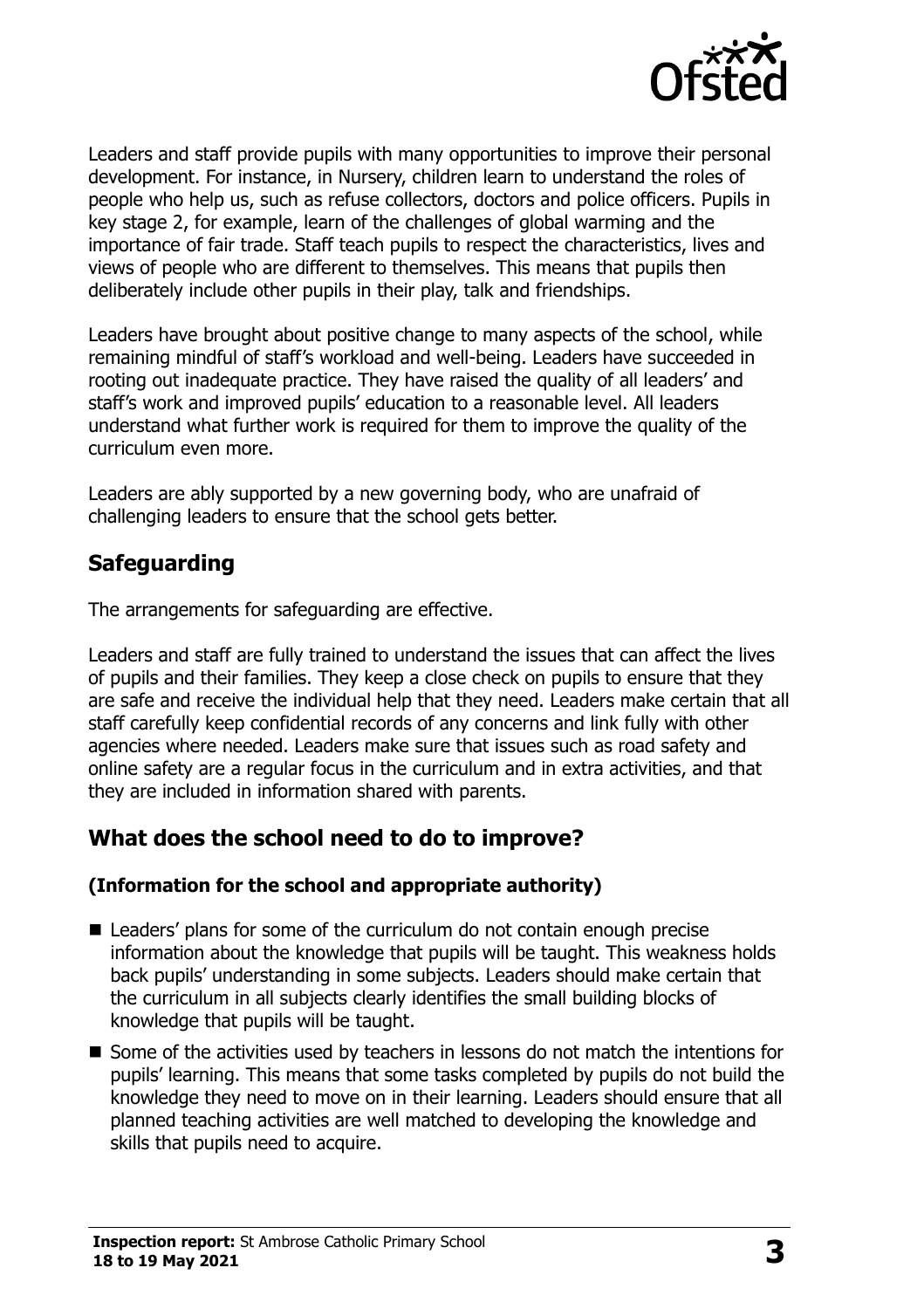

Leaders and staff provide pupils with many opportunities to improve their personal development. For instance, in Nursery, children learn to understand the roles of people who help us, such as refuse collectors, doctors and police officers. Pupils in key stage 2, for example, learn of the challenges of global warming and the importance of fair trade. Staff teach pupils to respect the characteristics, lives and views of people who are different to themselves. This means that pupils then deliberately include other pupils in their play, talk and friendships.

Leaders have brought about positive change to many aspects of the school, while remaining mindful of staff's workload and well-being. Leaders have succeeded in rooting out inadequate practice. They have raised the quality of all leaders' and staff's work and improved pupils' education to a reasonable level. All leaders understand what further work is required for them to improve the quality of the curriculum even more.

Leaders are ably supported by a new governing body, who are unafraid of challenging leaders to ensure that the school gets better.

## **Safeguarding**

The arrangements for safeguarding are effective.

Leaders and staff are fully trained to understand the issues that can affect the lives of pupils and their families. They keep a close check on pupils to ensure that they are safe and receive the individual help that they need. Leaders make certain that all staff carefully keep confidential records of any concerns and link fully with other agencies where needed. Leaders make sure that issues such as road safety and online safety are a regular focus in the curriculum and in extra activities, and that they are included in information shared with parents.

# **What does the school need to do to improve?**

#### **(Information for the school and appropriate authority)**

- Leaders' plans for some of the curriculum do not contain enough precise information about the knowledge that pupils will be taught. This weakness holds back pupils' understanding in some subjects. Leaders should make certain that the curriculum in all subjects clearly identifies the small building blocks of knowledge that pupils will be taught.
- Some of the activities used by teachers in lessons do not match the intentions for pupils' learning. This means that some tasks completed by pupils do not build the knowledge they need to move on in their learning. Leaders should ensure that all planned teaching activities are well matched to developing the knowledge and skills that pupils need to acquire.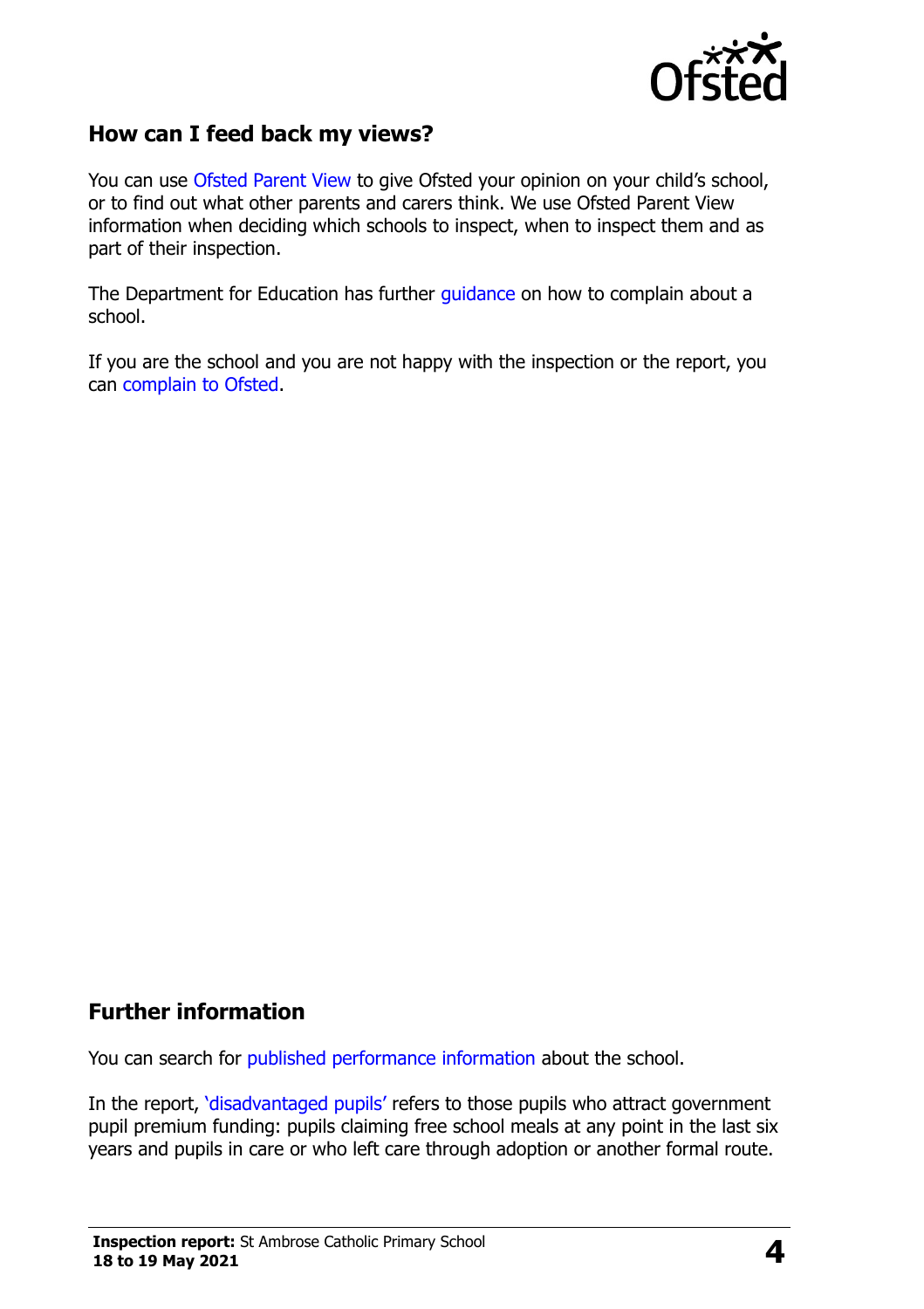

### **How can I feed back my views?**

You can use [Ofsted Parent View](http://parentview.ofsted.gov.uk/) to give Ofsted your opinion on your child's school, or to find out what other parents and carers think. We use Ofsted Parent View information when deciding which schools to inspect, when to inspect them and as part of their inspection.

The Department for Education has further [guidance](http://www.gov.uk/complain-about-school) on how to complain about a school.

If you are the school and you are not happy with the inspection or the report, you can [complain to Ofsted.](http://www.gov.uk/complain-ofsted-report)

## **Further information**

You can search for [published performance information](http://www.compare-school-performance.service.gov.uk/) about the school.

In the report, '[disadvantaged pupils](http://www.gov.uk/guidance/pupil-premium-information-for-schools-and-alternative-provision-settings)' refers to those pupils who attract government pupil premium funding: pupils claiming free school meals at any point in the last six years and pupils in care or who left care through adoption or another formal route.

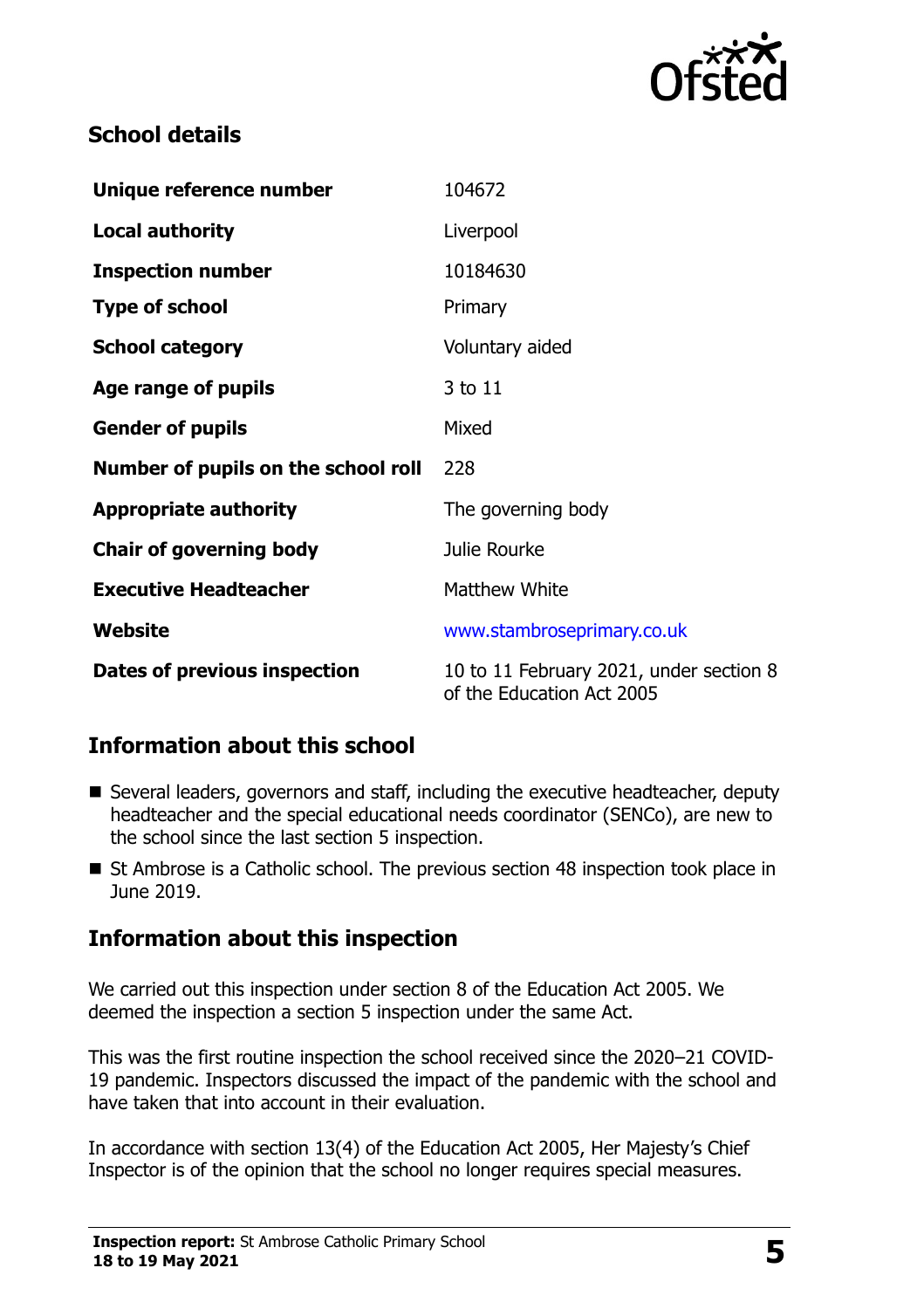

# **School details**

| Unique reference number             | 104672                                                               |
|-------------------------------------|----------------------------------------------------------------------|
| <b>Local authority</b>              | Liverpool                                                            |
| <b>Inspection number</b>            | 10184630                                                             |
| <b>Type of school</b>               | Primary                                                              |
| <b>School category</b>              | Voluntary aided                                                      |
| Age range of pupils                 | 3 to 11                                                              |
| <b>Gender of pupils</b>             | Mixed                                                                |
| Number of pupils on the school roll | 228                                                                  |
| <b>Appropriate authority</b>        | The governing body                                                   |
| <b>Chair of governing body</b>      | Julie Rourke                                                         |
| <b>Executive Headteacher</b>        | <b>Matthew White</b>                                                 |
| Website                             | www.stambroseprimary.co.uk                                           |
| Dates of previous inspection        | 10 to 11 February 2021, under section 8<br>of the Education Act 2005 |

# **Information about this school**

- Several leaders, governors and staff, including the executive headteacher, deputy headteacher and the special educational needs coordinator (SENCo), are new to the school since the last section 5 inspection.
- St Ambrose is a Catholic school. The previous section 48 inspection took place in June 2019.

# **Information about this inspection**

We carried out this inspection under section 8 of the Education Act 2005. We deemed the inspection a section 5 inspection under the same Act.

This was the first routine inspection the school received since the 2020–21 COVID-19 pandemic. Inspectors discussed the impact of the pandemic with the school and have taken that into account in their evaluation.

In accordance with section 13(4) of the Education Act 2005, Her Majesty's Chief Inspector is of the opinion that the school no longer requires special measures.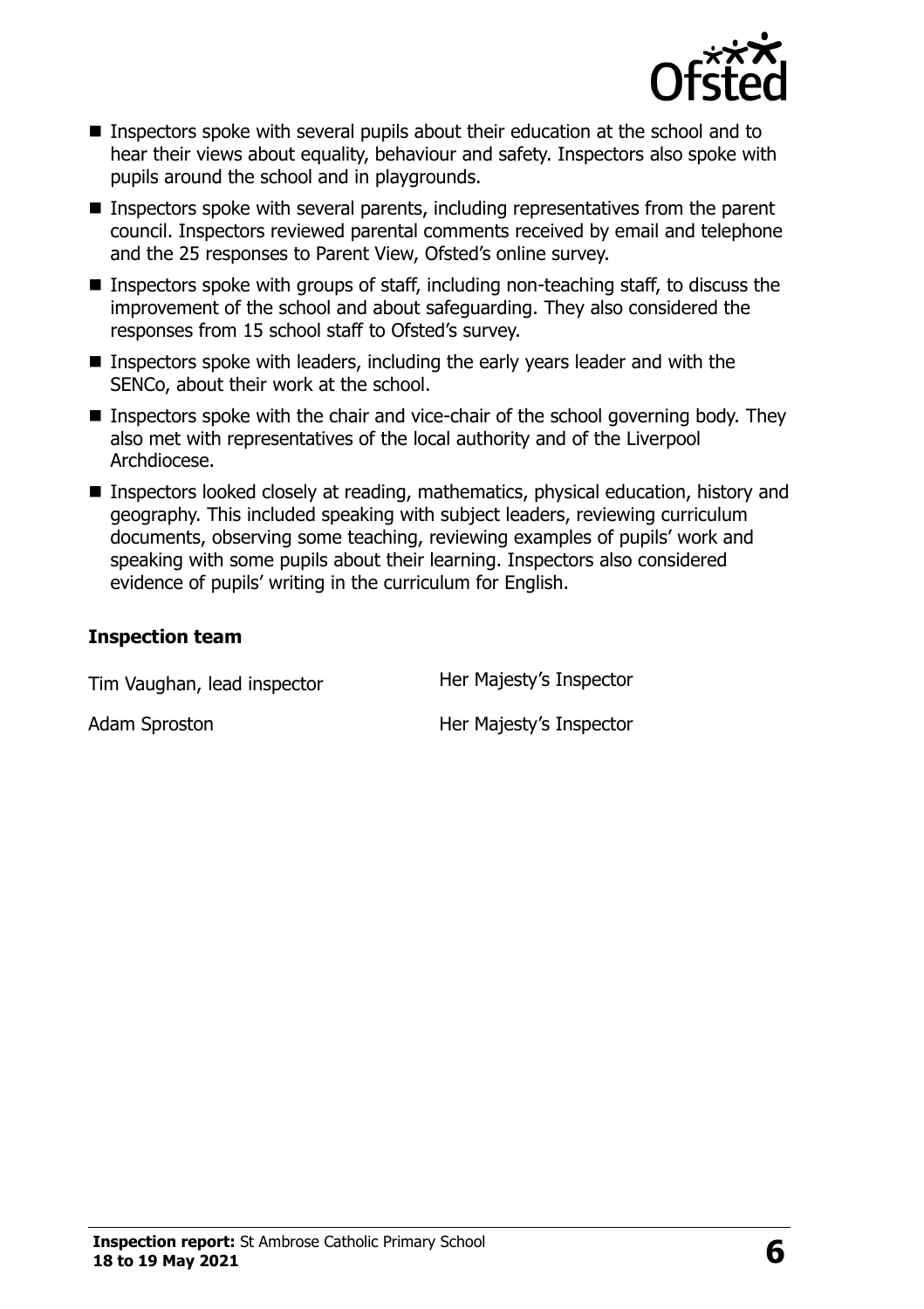

- **Inspectors spoke with several pupils about their education at the school and to** hear their views about equality, behaviour and safety. Inspectors also spoke with pupils around the school and in playgrounds.
- Inspectors spoke with several parents, including representatives from the parent council. Inspectors reviewed parental comments received by email and telephone and the 25 responses to Parent View, Ofsted's online survey.
- Inspectors spoke with groups of staff, including non-teaching staff, to discuss the improvement of the school and about safeguarding. They also considered the responses from 15 school staff to Ofsted's survey.
- Inspectors spoke with leaders, including the early years leader and with the SENCo, about their work at the school.
- Inspectors spoke with the chair and vice-chair of the school governing body. They also met with representatives of the local authority and of the Liverpool Archdiocese.
- Inspectors looked closely at reading, mathematics, physical education, history and geography. This included speaking with subject leaders, reviewing curriculum documents, observing some teaching, reviewing examples of pupils' work and speaking with some pupils about their learning. Inspectors also considered evidence of pupils' writing in the curriculum for English.

#### **Inspection team**

Tim Vaughan, lead inspector **Her Majesty's Inspector** 

Adam Sproston **Her Majesty's Inspector**